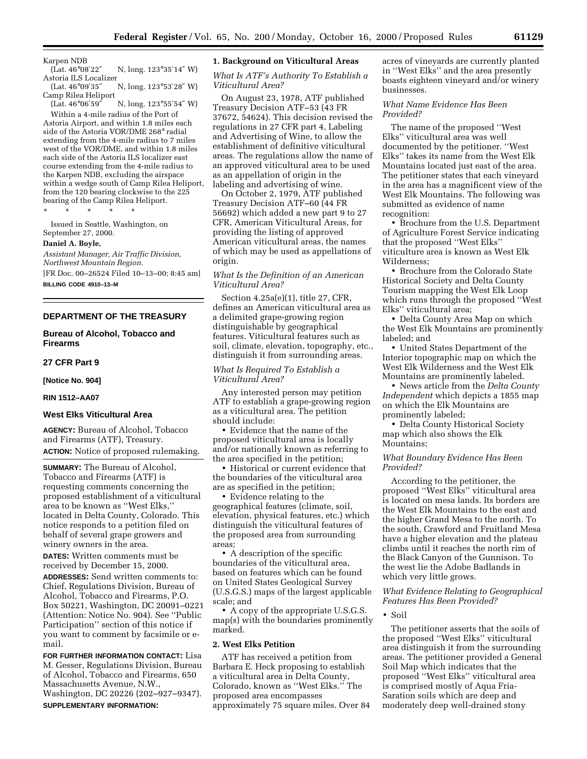Karpen NDB<br>(Lat. 46°08'22" N, long. 123°35'14" W)

Astoria ILS Localizer<br>(Lat. 46°09'35" N, long. 123°53'28" W) Camp Rilea Heliport<br>(Lat. 46°06′59″

N, long. 123°55′54″ W) Within a 4-mile radius of the Port of

Astoria Airport, and within 1.8 miles each side of the Astoria VOR/DME 268° radial extending from the 4-mile radius to 7 miles west of the VOR/DME, and within 1.8 miles each side of the Astoria ILS localizer east course extending from the 4-mile radius to the Karpen NDB, excluding the airspace within a wedge south of Camp Rilea Heliport, from the 120 bearing clockwise to the 225 bearing of the Camp Rilea Heliport.

\* \* \* \* \*

Issued in Seattle, Washington, on September 27, 2000.

#### **Daniel A. Boyle,**

*Assistant Manager, Air Traffic Division, Northwest Mountain Region.*

[FR Doc. 00–26524 Filed 10–13–00; 8:45 am]

**BILLING CODE 4910–13–M**

# **DEPARTMENT OF THE TREASURY**

## **Bureau of Alcohol, Tobacco and Firearms**

**27 CFR Part 9**

**[Notice No. 904]**

#### **RIN 1512–AA07**

## **West Elks Viticultural Area**

**AGENCY:** Bureau of Alcohol, Tobacco and Firearms (ATF), Treasury. **ACTION:** Notice of proposed rulemaking.

**SUMMARY:** The Bureau of Alcohol, Tobacco and Firearms (ATF) is requesting comments concerning the proposed establishment of a viticultural area to be known as ''West Elks,'' located in Delta County, Colorado. This notice responds to a petition filed on behalf of several grape growers and winery owners in the area.

**DATES:** Written comments must be received by December 15, 2000.

**ADDRESSES:** Send written comments to: Chief, Regulations Division, Bureau of Alcohol, Tobacco and Firearms, P.O. Box 50221, Washington, DC 20091–0221 (Attention: Notice No. 904). See ''Public Participation'' section of this notice if you want to comment by facsimile or email.

**FOR FURTHER INFORMATION CONTACT:** Lisa M. Gesser, Regulations Division, Bureau of Alcohol, Tobacco and Firearms, 650 Massachusetts Avenue, N.W., Washington, DC 20226 (202–927–9347). **SUPPLEMENTARY INFORMATION:**

#### **1. Background on Viticultural Areas**

## *What Is ATF's Authority To Establish a Viticultural Area?*

On August 23, 1978, ATF published Treasury Decision ATF–53 (43 FR 37672, 54624). This decision revised the regulations in 27 CFR part 4, Labeling and Advertising of Wine, to allow the establishment of definitive viticultural areas. The regulations allow the name of an approved viticultural area to be used as an appellation of origin in the labeling and advertising of wine.

On October 2, 1979, ATF published Treasury Decision ATF–60 (44 FR 56692) which added a new part 9 to 27 CFR, American Viticultural Areas, for providing the listing of approved American viticultural areas, the names of which may be used as appellations of origin.

*What Is the Definition of an American Viticultural Area?*

Section 4.25a(e)(1), title 27, CFR, defines an American viticultural area as a delimited grape-growing region distinguishable by geographical features. Viticultural features such as soil, climate, elevation, topography, etc., distinguish it from surrounding areas.

# *What Is Required To Establish a Viticultural Area?*

Any interested person may petition ATF to establish a grape-growing region as a viticultural area. The petition should include:

• Evidence that the name of the proposed viticultural area is locally and/or nationally known as referring to the area specified in the petition;

• Historical or current evidence that the boundaries of the viticultural area are as specified in the petition;

• Evidence relating to the geographical features (climate, soil, elevation, physical features, etc.) which distinguish the viticultural features of the proposed area from surrounding areas;

• A description of the specific boundaries of the viticultural area, based on features which can be found on United States Geological Survey (U.S.G.S.) maps of the largest applicable scale; and

• A copy of the appropriate U.S.G.S. map(s) with the boundaries prominently marked.

#### **2. West Elks Petition**

ATF has received a petition from Barbara E. Heck proposing to establish a viticultural area in Delta County, Colorado, known as ''West Elks.'' The proposed area encompasses approximately 75 square miles. Over 84

acres of vineyards are currently planted in ''West Elks'' and the area presently boasts eighteen vineyard and/or winery businesses.

# *What Name Evidence Has Been Provided?*

The name of the proposed ''West Elks'' viticultural area was well documented by the petitioner. ''West Elks'' takes its name from the West Elk Mountains located just east of the area. The petitioner states that each vineyard in the area has a magnificent view of the West Elk Mountains. The following was submitted as evidence of name recognition:

• Brochure from the U.S. Department of Agriculture Forest Service indicating that the proposed ''West Elks'' viticulture area is known as West Elk Wilderness;

• Brochure from the Colorado State Historical Society and Delta County Tourism mapping the West Elk Loop which runs through the proposed ''West Elks'' viticultural area;

• Delta County Area Map on which the West Elk Mountains are prominently labeled; and

• United States Department of the Interior topographic map on which the West Elk Wilderness and the West Elk Mountains are prominently labeled.

• News article from the *Delta County Independent* which depicts a 1855 map on which the Elk Mountains are prominently labeled;

• Delta County Historical Society map which also shows the Elk Mountains;

# *What Boundary Evidence Has Been Provided?*

According to the petitioner, the proposed ''West Elks'' viticultural area is located on mesa lands. Its borders are the West Elk Mountains to the east and the higher Grand Mesa to the north. To the south, Crawford and Fruitland Mesa have a higher elevation and the plateau climbs until it reaches the north rim of the Black Canyon of the Gunnison. To the west lie the Adobe Badlands in which very little grows.

# *What Evidence Relating to Geographical Features Has Been Provided?*

• Soil

The petitioner asserts that the soils of the proposed ''West Elks'' viticultural area distinguish it from the surrounding areas. The petitioner provided a General Soil Map which indicates that the proposed ''West Elks'' viticultural area is comprised mostly of Aqua Fria-Saration soils which are deep and moderately deep well-drained stony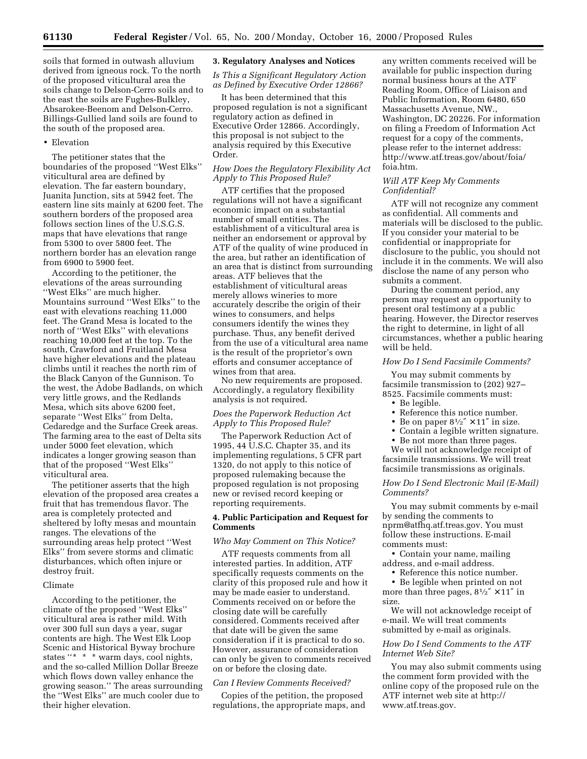soils that formed in outwash alluvium derived from igneous rock. To the north of the proposed viticultural area the soils change to Delson-Cerro soils and to the east the soils are Fughes-Bulkley, Absarokee-Beenom and Delson-Cerro. Billings-Gullied land soils are found to the south of the proposed area.

#### • Elevation

The petitioner states that the boundaries of the proposed ''West Elks'' viticultural area are defined by elevation. The far eastern boundary, Juanita Junction, sits at 5942 feet. The eastern line sits mainly at 6200 feet. The southern borders of the proposed area follows section lines of the U.S.G.S. maps that have elevations that range from 5300 to over 5800 feet. The northern border has an elevation range from 6900 to 5900 feet.

According to the petitioner, the elevations of the areas surrounding ''West Elks'' are much higher. Mountains surround ''West Elks'' to the east with elevations reaching 11,000 feet. The Grand Mesa is located to the north of ''West Elks'' with elevations reaching 10,000 feet at the top. To the south, Crawford and Fruitland Mesa have higher elevations and the plateau climbs until it reaches the north rim of the Black Canyon of the Gunnison. To the west, the Adobe Badlands, on which very little grows, and the Redlands Mesa, which sits above 6200 feet, separate ''West Elks'' from Delta, Cedaredge and the Surface Creek areas. The farming area to the east of Delta sits under 5000 feet elevation, which indicates a longer growing season than that of the proposed ''West Elks'' viticultural area.

The petitioner asserts that the high elevation of the proposed area creates a fruit that has tremendous flavor. The area is completely protected and sheltered by lofty mesas and mountain ranges. The elevations of the surrounding areas help protect ''West Elks'' from severe storms and climatic disturbances, which often injure or destroy fruit.

#### Climate

According to the petitioner, the climate of the proposed ''West Elks'' viticultural area is rather mild. With over 300 full sun days a year, sugar contents are high. The West Elk Loop Scenic and Historical Byway brochure states "\* \* \* warm days, cool nights, and the so-called Million Dollar Breeze which flows down valley enhance the growing season.'' The areas surrounding the ''West Elks'' are much cooler due to their higher elevation.

#### **3. Regulatory Analyses and Notices**

## *Is This a Significant Regulatory Action as Defined by Executive Order 12866?*

It has been determined that this proposed regulation is not a significant regulatory action as defined in Executive Order 12866. Accordingly, this proposal is not subject to the analysis required by this Executive Order.

## *How Does the Regulatory Flexibility Act Apply to This Proposed Rule?*

ATF certifies that the proposed regulations will not have a significant economic impact on a substantial number of small entities. The establishment of a viticultural area is neither an endorsement or approval by ATF of the quality of wine produced in the area, but rather an identification of an area that is distinct from surrounding areas. ATF believes that the establishment of viticultural areas merely allows wineries to more accurately describe the origin of their wines to consumers, and helps consumers identify the wines they purchase. Thus, any benefit derived from the use of a viticultural area name is the result of the proprietor's own efforts and consumer acceptance of wines from that area.

No new requirements are proposed. Accordingly, a regulatory flexibility analysis is not required.

# *Does the Paperwork Reduction Act Apply to This Proposed Rule?*

The Paperwork Reduction Act of 1995, 44 U.S.C. Chapter 35, and its implementing regulations, 5 CFR part 1320, do not apply to this notice of proposed rulemaking because the proposed regulation is not proposing new or revised record keeping or reporting requirements.

## **4. Public Participation and Request for Comments**

#### *Who May Comment on This Notice?*

ATF requests comments from all interested parties. In addition, ATF specifically requests comments on the clarity of this proposed rule and how it may be made easier to understand. Comments received on or before the closing date will be carefully considered. Comments received after that date will be given the same consideration if it is practical to do so. However, assurance of consideration can only be given to comments received on or before the closing date.

#### *Can I Review Comments Received?*

Copies of the petition, the proposed regulations, the appropriate maps, and any written comments received will be available for public inspection during normal business hours at the ATF Reading Room, Office of Liaison and Public Information, Room 6480, 650 Massachusetts Avenue, NW., Washington, DC 20226. For information on filing a Freedom of Information Act request for a copy of the comments, please refer to the internet address: http://www.atf.treas.gov/about/foia/ foia.htm.

# *Will ATF Keep My Comments Confidential?*

ATF will not recognize any comment as confidential. All comments and materials will be disclosed to the public. If you consider your material to be confidential or inappropriate for disclosure to the public, you should not include it in the comments. We will also disclose the name of any person who submits a comment.

During the comment period, any person may request an opportunity to present oral testimony at a public hearing. However, the Director reserves the right to determine, in light of all circumstances, whether a public hearing will be held.

#### *How Do I Send Facsimile Comments?*

You may submit comments by facsimile transmission to (202) 927– 8525. Facsimile comments must:

- Be legible.
- Reference this notice number.
- Be on paper  $8\frac{1}{2}$ " × 11" in size.
- Contain a legible written signature.
- Be not more than three pages.

We will not acknowledge receipt of facsimile transmissions. We will treat facsimile transmissions as originals.

# *How Do I Send Electronic Mail (E-Mail) Comments?*

You may submit comments by e-mail by sending the comments to nprm@atfhq.atf.treas.gov. You must follow these instructions. E-mail comments must:

• Contain your name, mailing address, and e-mail address.

• Reference this notice number.

• Be legible when printed on not more than three pages,  $8\frac{1}{2}$   $\times$  11" in size.

We will not acknowledge receipt of e-mail. We will treat comments submitted by e-mail as originals.

## *How Do I Send Comments to the ATF Internet Web Site?*

You may also submit comments using the comment form provided with the online copy of the proposed rule on the ATF internet web site at http:// www.atf.treas.gov.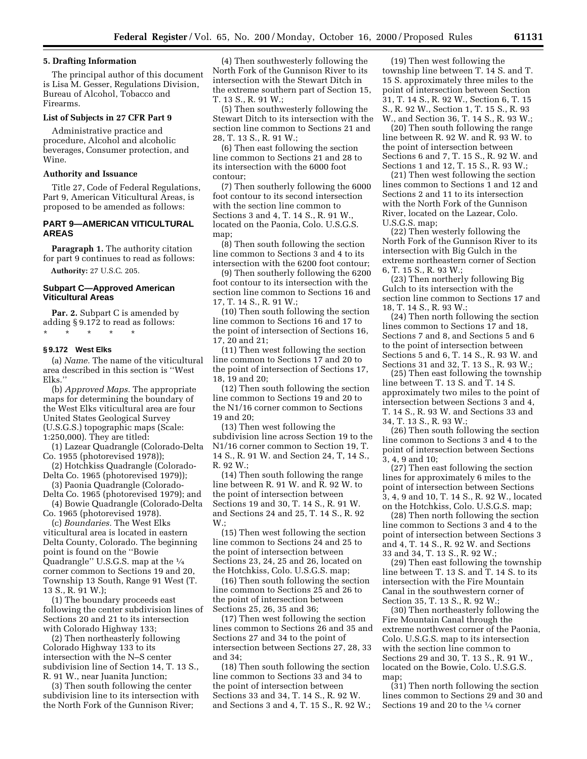## **5. Drafting Information**

The principal author of this document is Lisa M. Gesser, Regulations Division, Bureau of Alcohol, Tobacco and Firearms.

#### **List of Subjects in 27 CFR Part 9**

Administrative practice and procedure, Alcohol and alcoholic beverages, Consumer protection, and Wine.

#### **Authority and Issuance**

Title 27, Code of Federal Regulations, Part 9, American Viticultural Areas, is proposed to be amended as follows:

## **PART 9—AMERICAN VITICULTURAL AREAS**

Paragraph 1. The authority citation for part 9 continues to read as follows:

**Authority:** 27 U.S.C. 205.

#### **Subpart C—Approved American Viticultural Areas**

**Par. 2.** Subpart C is amended by adding § 9.172 to read as follows: \* \* \* \* \*

#### **§ 9.172 West Elks**

(a) *Name.* The name of the viticultural area described in this section is ''West Elks.''

(b) *Approved Maps.* The appropriate maps for determining the boundary of the West Elks viticultural area are four United States Geological Survey (U.S.G.S.) topographic maps (Scale: 1:250,000). They are titled:

(1) Lazear Quadrangle (Colorado-Delta Co. 1955 (photorevised 1978));

(2) Hotchkiss Quadrangle (Colorado-Delta Co. 1965 (photorevised 1979));

(3) Paonia Quadrangle (Colorado-Delta Co. 1965 (photorevised 1979); and (4) Bowie Quadrangle (Colorado-Delta

Co. 1965 (photorevised 1978).

(c) *Boundaries.* The West Elks viticultural area is located in eastern Delta County, Colorado. The beginning point is found on the ''Bowie Quadrangle'' U.S.G.S. map at the 1⁄4 corner common to Sections 19 and 20, Township 13 South, Range 91 West (T. 13 S., R. 91 W.);

(1) The boundary proceeds east following the center subdivision lines of Sections 20 and 21 to its intersection with Colorado Highway 133;

(2) Then northeasterly following Colorado Highway 133 to its intersection with the N–S center subdivision line of Section 14, T. 13 S., R. 91 W., near Juanita Junction;

(3) Then south following the center subdivision line to its intersection with the North Fork of the Gunnison River;

(4) Then southwesterly following the North Fork of the Gunnison River to its intersection with the Stewart Ditch in the extreme southern part of Section 15, T. 13 S., R. 91 W.;

(5) Then southwesterly following the Stewart Ditch to its intersection with the section line common to Sections 21 and 28, T. 13 S., R. 91 W.;

(6) Then east following the section line common to Sections 21 and 28 to its intersection with the 6000 foot contour;

(7) Then southerly following the 6000 foot contour to its second intersection with the section line common to Sections 3 and 4, T. 14 S., R. 91 W., located on the Paonia, Colo. U.S.G.S. map;

(8) Then south following the section line common to Sections 3 and 4 to its intersection with the 6200 foot contour;

(9) Then southerly following the 6200 foot contour to its intersection with the section line common to Sections 16 and 17, T. 14 S., R. 91 W.;

(10) Then south following the section line common to Sections 16 and 17 to the point of intersection of Sections 16, 17, 20 and 21;

(11) Then west following the section line common to Sections 17 and 20 to the point of intersection of Sections 17, 18, 19 and 20;

(12) Then south following the section line common to Sections 19 and 20 to the N1/16 corner common to Sections 19 and 20;

(13) Then west following the subdivision line across Section 19 to the N1/16 corner common to Section 19, T. 14 S., R. 91 W. and Section 24, T, 14 S., R. 92 W.;

(14) Then south following the range line between R. 91 W. and R. 92 W. to the point of intersection between Sections 19 and 30, T. 14 S., R. 91 W. and Sections 24 and 25, T. 14 S., R. 92  $W:$ 

(15) Then west following the section line common to Sections 24 and 25 to the point of intersection between Sections 23, 24, 25 and 26, located on the Hotchkiss, Colo. U.S.G.S. map;

(16) Then south following the section line common to Sections 25 and 26 to the point of intersection between Sections 25, 26, 35 and 36;

(17) Then west following the section lines common to Sections 26 and 35 and Sections 27 and 34 to the point of intersection between Sections 27, 28, 33 and 34;

(18) Then south following the section line common to Sections 33 and 34 to the point of intersection between Sections 33 and 34, T. 14 S., R. 92 W. and Sections 3 and 4, T. 15 S., R. 92 W.;

(19) Then west following the township line between T. 14 S. and T. 15 S. approximately three miles to the point of intersection between Section 31, T. 14 S., R. 92 W., Section 6, T. 15 S., R. 92 W., Section 1, T. 15 S., R. 93 W., and Section 36, T. 14 S., R. 93 W.;

(20) Then south following the range line between R. 92 W. and R. 93 W. to the point of intersection between Sections 6 and 7, T. 15 S., R. 92 W. and Sections 1 and 12, T. 15 S., R. 93 W.;

(21) Then west following the section lines common to Sections 1 and 12 and Sections 2 and 11 to its intersection with the North Fork of the Gunnison River, located on the Lazear, Colo. U.S.G.S. map;

(22) Then westerly following the North Fork of the Gunnison River to its intersection with Big Gulch in the extreme northeastern corner of Section 6, T. 15 S., R. 93 W.;

(23) Then northerly following Big Gulch to its intersection with the section line common to Sections 17 and 18, T. 14 S., R. 93 W.;

(24) Then north following the section lines common to Sections 17 and 18, Sections 7 and 8, and Sections 5 and 6 to the point of intersection between Sections 5 and 6, T. 14 S., R. 93 W. and Sections 31 and 32, T. 13 S., R. 93 W.;

(25) Then east following the township line between T. 13 S. and T. 14 S. approximately two miles to the point of intersection between Sections 3 and 4, T. 14 S., R. 93 W. and Sections 33 and 34, T. 13 S., R. 93 W.;

(26) Then south following the section line common to Sections 3 and 4 to the point of intersection between Sections 3, 4, 9 and 10;

(27) Then east following the section lines for approximately 6 miles to the point of intersection between Sections 3, 4, 9 and 10, T. 14 S., R. 92 W., located on the Hotchkiss, Colo. U.S.G.S. map;

(28) Then north following the section line common to Sections 3 and 4 to the point of intersection between Sections 3 and 4, T. 14 S., R. 92 W. and Sections 33 and 34, T. 13 S., R. 92 W.;

(29) Then east following the township line between T. 13 S. and T. 14 S. to its intersection with the Fire Mountain Canal in the southwestern corner of Section 35, T. 13 S., R. 92 W.;

(30) Then northeasterly following the Fire Mountain Canal through the extreme northwest corner of the Paonia, Colo. U.S.G.S. map to its intersection with the section line common to Sections 29 and 30, T. 13 S., R. 91 W., located on the Bowie, Colo. U.S.G.S. map;

(31) Then north following the section lines common to Sections 29 and 30 and Sections 19 and 20 to the 1⁄4 corner